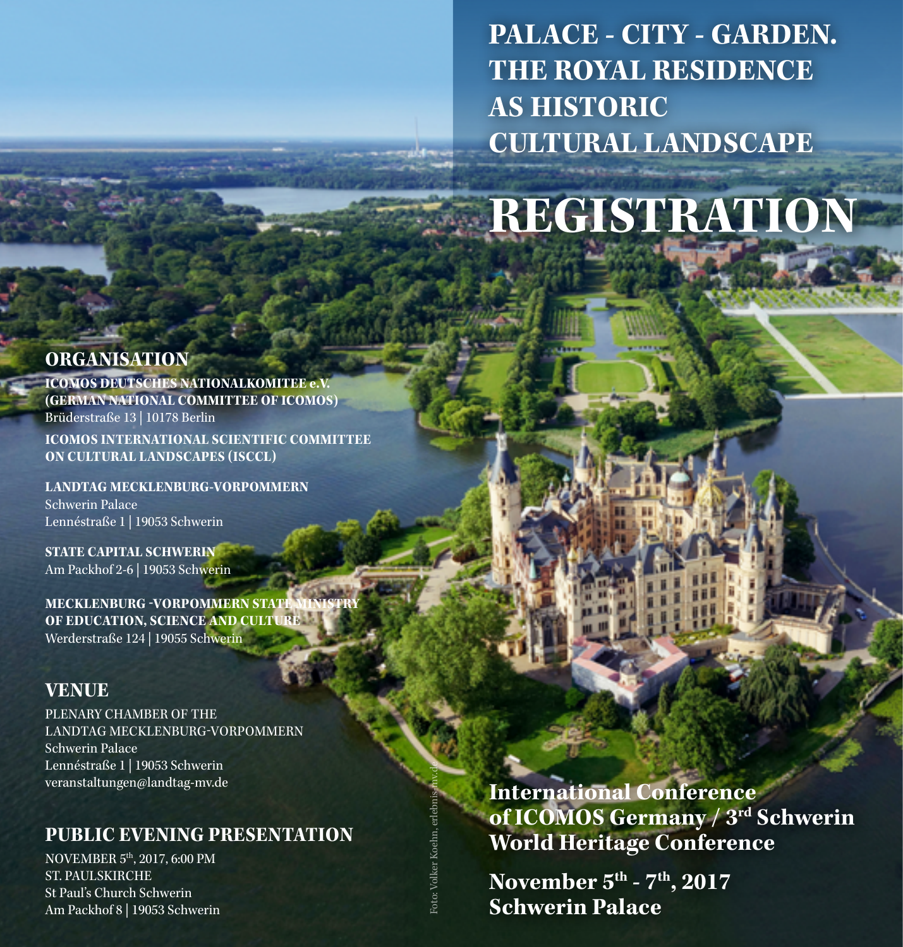**PALACE - CITY - GARDEN. THE ROYAL RESIDENCE AS HISTORIC CULTURAL LANDSCAPE**

# **REGISTRATION**

## **ORGANISATION**

**ICOMOS DEUTSCHES NATIONALKOMITEE e.V. (GERMAN NATIONAL COMMITTEE OF ICOMOS)** Brüderstraße 13 | 10178 Berlin **ICOMOS INTERNATIONAL SCIENTIFIC COMMITTEE ON CULTURAL LANDSCAPES (ISCCL)**

**LANDTAG MECKLENBURG-VORPOMMERN** Schwerin Palace Lennéstraße 1 | 19053 Schwerin

**STATE CAPITAL SCHWERIN** Am Packhof 2-6 | 19053 Schwerin

**MECKLENBURG -VORPOMMERN STAT OF EDUCATION, SCIENCE AND CULTURE** Werderstraße 124 | 19055 Schwerin

#### **VENUE**

PLENARY CHAMBER OF THE LANDTAG MECKLENBURG-VORPOMMERN Schwerin Palace Lennéstraße 1 | 19053 Schwerin [veranstaltungen@landtag-mv.de](mailto:veranstaltungen@landtag-mv.de)

## **PUBLIC EVENING PRESENTATION**

NOVEMBER 5th, 2017, 6:00 PM ST. PAULSKIRCHE St Paul's Church Schwerin Am Packhof 8 | 19053 Schwerin **International Conference of ICOMOS Germany / 3rd Schwerin World Heritage Conference**

**November 5th - 7th, 2017 Schwerin Palace**

Foto: Volker Koehn, erlebnis-mv.de